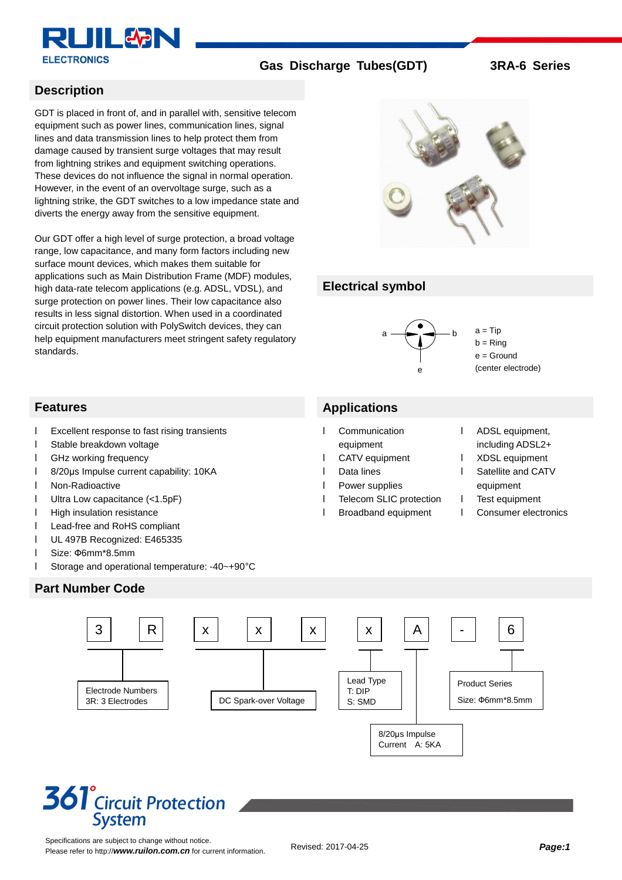

#### **Description**

GDT is placed in front of, and in parallel with, sensitive telecom equipment such as power lines, communication lines, signal lines and data transmission lines to help protect them from damage caused by transient surge voltages that may result from lightning strikes and equipment switching operations. These devices do not influence the signal in normal operation. However, in the event of an overvoltage surge, such as a lightning strike, the GDT switches to a low impedance state and diverts the energy away from the sensitive equipment.

Our GDT offer a high level of surge protection, a broad voltage range, low capacitance, and many form factors including new surface mount devices, which makes them suitable for applications such as Main Distribution Frame (MDF) modules, high data-rate telecom applications (e.g. ADSL, VDSL), and surge protection on power lines. Their low capacitance also results in less signal distortion. When used in a coordinated circuit protection solution with PolySwitch devices, they can help equipment manufacturers meet stringent safety regulatory standards.



### **Electrical symbol**



 $a = Tip$  $b =$ Ring  $e =$  Ground (center electrode)

### **Features Applications**

- l Communication equipment
- l CATV equipment
- l Data lines
- l Power supplies
- **I** Telecom SLIC protection
- l Broadband equipment
- l ADSL equipment, including ADSL2+
- l XDSL equipment
- l Satellite and CATV equipment
- **I** Test equipment
- l Consumer electronics

- l Excellent response to fast rising transients
- l Stable breakdown voltage
- l GHz working frequency
- l 8/20μs Impulse current capability: 10KA
- l Non-Radioactive
- l Ultra Low capacitance (<1.5pF)
- **I** High insulation resistance
- l Lead-free and RoHS compliant
- l UL 497B Recognized: E465335
- l Size: Ф6mm\*8.5mm
- l Storage and operational temperature: -40~+90°C

### **Part Number Code**



# **361**<sup>°</sup>Circuit Protection **System**

Specifications are subject to change without notice. Please refer to http://*[www.ruilon.com.cn](http://www.ruilon.com.cn)* for current information.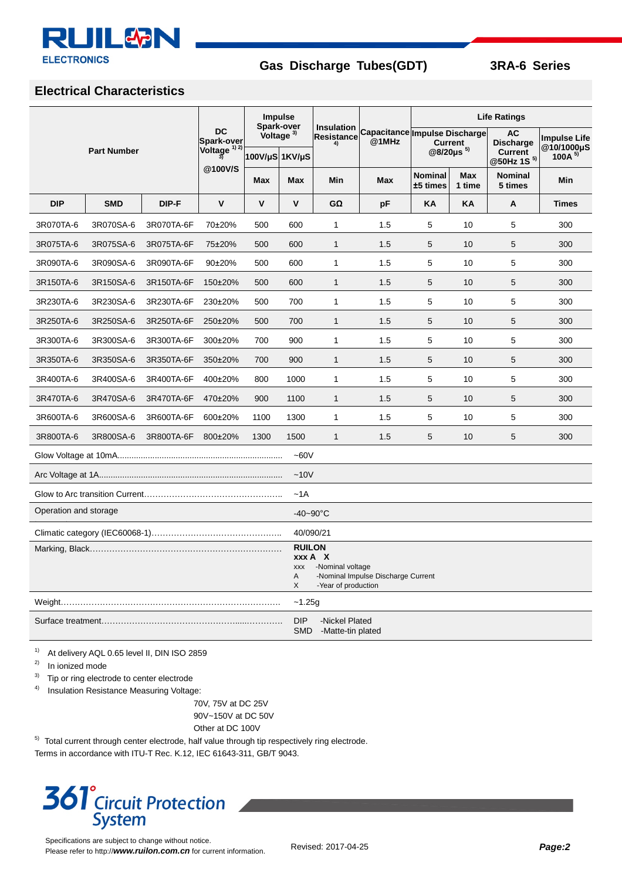

### **Electrical Characteristics**

| <b>Part Number</b>                                                                                                                |            |            | <b>DC</b><br><b>Spark-over</b><br>Voltage $\frac{1}{3}$<br>@100V/S | <b>Impulse</b><br>Spark-over<br>Voltage <sup>3)</sup><br>100V/µS 1KV/µS |              | Insulation<br><b>Resistance</b><br>4) | $@1$ MHz   | <b>Life Ratings</b>                                                      |               |                                                                           |                                                   |
|-----------------------------------------------------------------------------------------------------------------------------------|------------|------------|--------------------------------------------------------------------|-------------------------------------------------------------------------|--------------|---------------------------------------|------------|--------------------------------------------------------------------------|---------------|---------------------------------------------------------------------------|---------------------------------------------------|
|                                                                                                                                   |            |            |                                                                    |                                                                         |              |                                       |            | Capacitance Impulse Discharge<br><b>Current</b><br>@8/20µs <sup>5)</sup> |               | <b>AC</b><br><b>Discharge</b><br><b>Current</b><br>@50Hz 1S <sup>5)</sup> | <b>Impulse Life</b><br>@10/1000µS<br>100A $^{5)}$ |
|                                                                                                                                   |            |            |                                                                    | <b>Max</b>                                                              | Max          | Min                                   | <b>Max</b> | <b>Nominal</b><br>±5 times                                               | Max<br>1 time | Nominal<br>5 times                                                        | Min                                               |
| <b>DIP</b>                                                                                                                        | <b>SMD</b> | DIP-F      | $\mathbf v$                                                        | $\mathbf v$                                                             | $\mathsf{v}$ | $G\Omega$                             | pF         | KA                                                                       | KA            | Α                                                                         | <b>Times</b>                                      |
| 3R070TA-6                                                                                                                         | 3R070SA-6  | 3R070TA-6F | 70±20%                                                             | 500                                                                     | 600          | $\mathbf{1}$                          | 1.5        | 5                                                                        | 10            | 5                                                                         | 300                                               |
| 3R075TA-6                                                                                                                         | 3R075SA-6  | 3R075TA-6F | 75±20%                                                             | 500                                                                     | 600          | $\mathbf{1}$                          | 1.5        | 5                                                                        | 10            | 5                                                                         | 300                                               |
| 3R090TA-6                                                                                                                         | 3R090SA-6  | 3R090TA-6F | 90±20%                                                             | 500                                                                     | 600          | 1                                     | 1.5        | 5                                                                        | 10            | 5                                                                         | 300                                               |
| 3R150TA-6                                                                                                                         | 3R150SA-6  | 3R150TA-6F | 150±20%                                                            | 500                                                                     | 600          | $\mathbf{1}$                          | 1.5        | 5                                                                        | 10            | 5                                                                         | 300                                               |
| 3R230TA-6                                                                                                                         | 3R230SA-6  | 3R230TA-6F | 230±20%                                                            | 500                                                                     | 700          | 1                                     | 1.5        | 5                                                                        | 10            | 5                                                                         | 300                                               |
| 3R250TA-6                                                                                                                         | 3R250SA-6  | 3R250TA-6F | 250±20%                                                            | 500                                                                     | 700          | $\mathbf{1}$                          | 1.5        | 5                                                                        | 10            | 5                                                                         | 300                                               |
| 3R300TA-6                                                                                                                         | 3R300SA-6  | 3R300TA-6F | 300±20%                                                            | 700                                                                     | 900          | $\mathbf{1}$                          | 1.5        | 5                                                                        | 10            | 5                                                                         | 300                                               |
| 3R350TA-6                                                                                                                         | 3R350SA-6  | 3R350TA-6F | 350±20%                                                            | 700                                                                     | 900          | $\mathbf{1}$                          | 1.5        | 5                                                                        | 10            | 5                                                                         | 300                                               |
| 3R400TA-6                                                                                                                         | 3R400SA-6  | 3R400TA-6F | 400±20%                                                            | 800                                                                     | 1000         | 1                                     | 1.5        | 5                                                                        | 10            | 5                                                                         | 300                                               |
| 3R470TA-6                                                                                                                         | 3R470SA-6  | 3R470TA-6F | 470±20%                                                            | 900                                                                     | 1100         | $\mathbf{1}$                          | 1.5        | 5                                                                        | 10            | 5                                                                         | 300                                               |
| 3R600TA-6                                                                                                                         | 3R600SA-6  | 3R600TA-6F | 600±20%                                                            | 1100                                                                    | 1300         | 1                                     | 1.5        | 5                                                                        | 10            | 5                                                                         | 300                                               |
| 3R800TA-6                                                                                                                         | 3R800SA-6  | 3R800TA-6F | 800±20%                                                            | 1300                                                                    | 1500         | $\mathbf{1}$                          | 1.5        | 5                                                                        | 10            | 5                                                                         | 300                                               |
| $-60V$                                                                                                                            |            |            |                                                                    |                                                                         |              |                                       |            |                                                                          |               |                                                                           |                                                   |
| ~10V                                                                                                                              |            |            |                                                                    |                                                                         |              |                                       |            |                                                                          |               |                                                                           |                                                   |
| $-1A$                                                                                                                             |            |            |                                                                    |                                                                         |              |                                       |            |                                                                          |               |                                                                           |                                                   |
| Operation and storage                                                                                                             |            |            |                                                                    |                                                                         |              | $-40 - 90^{\circ}$ C                  |            |                                                                          |               |                                                                           |                                                   |
| 40/090/21                                                                                                                         |            |            |                                                                    |                                                                         |              |                                       |            |                                                                          |               |                                                                           |                                                   |
| <b>RUILON</b><br>xxx A X<br>-Nominal voltage<br><b>XXX</b><br>-Nominal Impulse Discharge Current<br>Α<br>X<br>-Year of production |            |            |                                                                    |                                                                         |              |                                       |            |                                                                          |               |                                                                           |                                                   |
| $-1.25g$<br>Weight………………………………………………………………………                                                                                     |            |            |                                                                    |                                                                         |              |                                       |            |                                                                          |               |                                                                           |                                                   |
| <b>DIP</b><br>-Nickel Plated<br><b>SMD</b><br>-Matte-tin plated                                                                   |            |            |                                                                    |                                                                         |              |                                       |            |                                                                          |               |                                                                           |                                                   |

<sup>1)</sup> At delivery AQL 0.65 level II, DIN ISO 2859

2) In ionized mode

<sup>3)</sup> Tip or ring electrode to center electrode

4) Insulation Resistance Measuring Voltage:

70V, 75V at DC 25V 90V~150V at DC 50V

Other at DC 100V

 $5)$  Total current through center electrode, half value through tip respectively ring electrode.

Terms in accordance with ITU-T Rec. K.12, IEC 61643-311, GB/T 9043.

# **361<sup>°</sup>Circuit Protection System**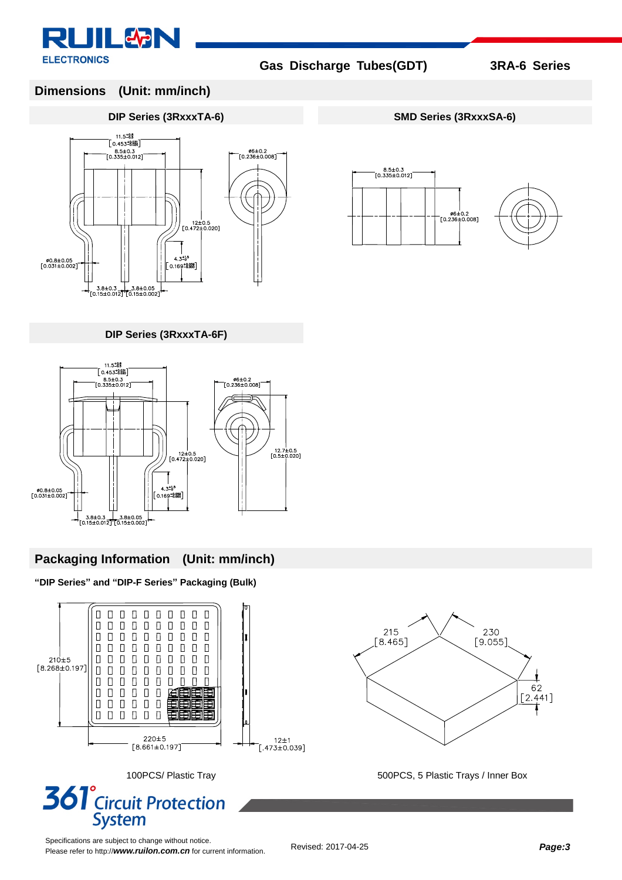

8.5±0.3<br>[0.335±0.012]

。 /<br>0.2±0.2 -<br>[0.236±0.008]

### **Dimensions (Unit: mm/inch)**

#### **DIP Series (3RxxxTA-6) SMD Series (3RxxxSA-6)**



**DIP Series (3RxxxTA-6F)**



### **Packaging Information (Unit: mm/inch)**

**"DIP Series" and "DIP-F Series" Packaging (Bulk)**